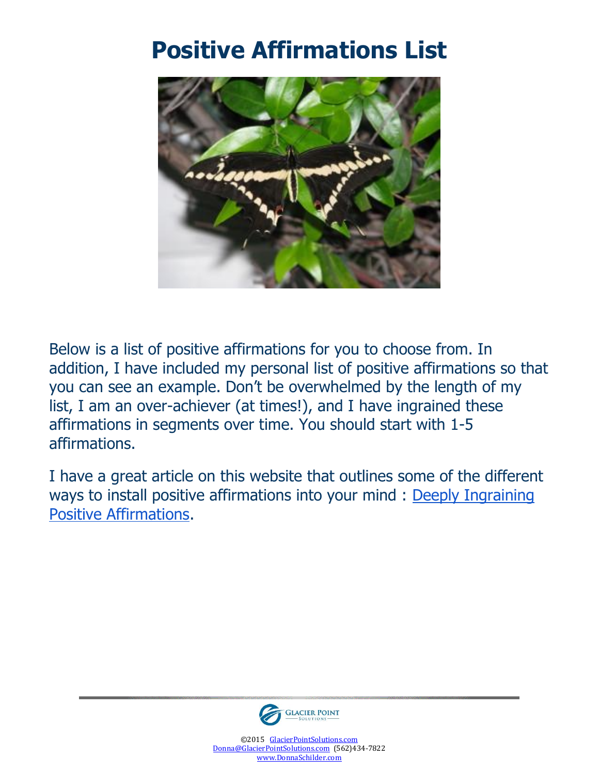# **Positive Affirmations List**



Below is a list of positive affirmations for you to choose from. In addition, I have included my personal list of positive affirmations so that you can see an example. Don't be overwhelmed by the length of my list, I am an over-achiever (at times!), and I have ingrained these affirmations in segments over time. You should start with 1-5 affirmations.

I have a great article on this website that outlines some of the different ways to install positive affirmations into your mind : [Deeply Ingraining](http://www.donnaschilder.com/articles/life-coaching-articles/deeply-ingraining-positive-affirmations/)  [Positive Affirmations.](http://www.donnaschilder.com/articles/life-coaching-articles/deeply-ingraining-positive-affirmations/)



©2015 GlacierPointSolutions.com Donna@GlacierPointSolutions.com (562)434-7822 www.DonnaSchilder.com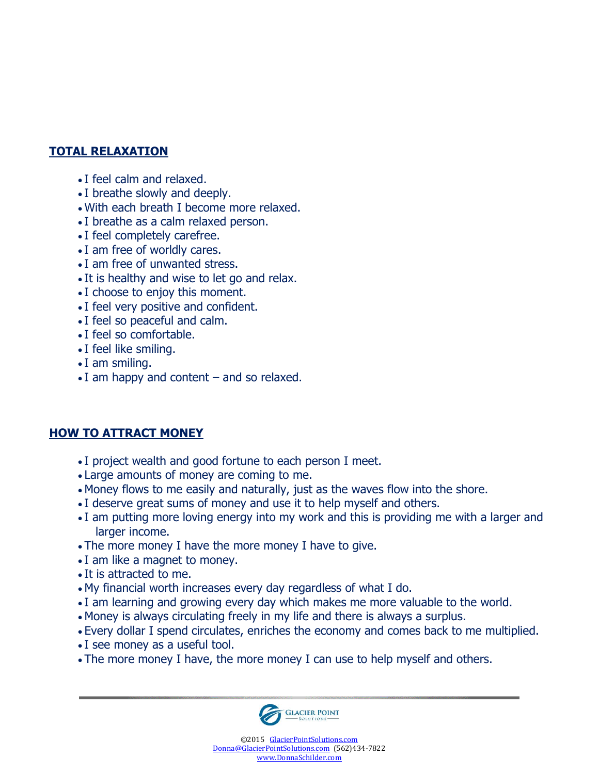## **TOTAL RELAXATION**

- I feel calm and relaxed.
- I breathe slowly and deeply.
- With each breath I become more relaxed.
- I breathe as a calm relaxed person.
- I feel completely carefree.
- I am free of worldly cares.
- I am free of unwanted stress.
- It is healthy and wise to let go and relax.
- I choose to enjoy this moment.
- I feel very positive and confident.
- I feel so peaceful and calm.
- I feel so comfortable.
- I feel like smiling.
- I am smiling.
- $\bullet$  I am happy and content and so relaxed.

## **HOW TO ATTRACT MONEY**

- I project wealth and good fortune to each person I meet.
- Large amounts of money are coming to me.
- Money flows to me easily and naturally, just as the waves flow into the shore.
- I deserve great sums of money and use it to help myself and others.
- I am putting more loving energy into my work and this is providing me with a larger and larger income.
- The more money I have the more money I have to give.
- I am like a magnet to money.
- It is attracted to me.
- My financial worth increases every day regardless of what I do.
- I am learning and growing every day which makes me more valuable to the world.
- Money is always circulating freely in my life and there is always a surplus.
- Every dollar I spend circulates, enriches the economy and comes back to me multiplied.
- I see money as a useful tool.
- The more money I have, the more money I can use to help myself and others.

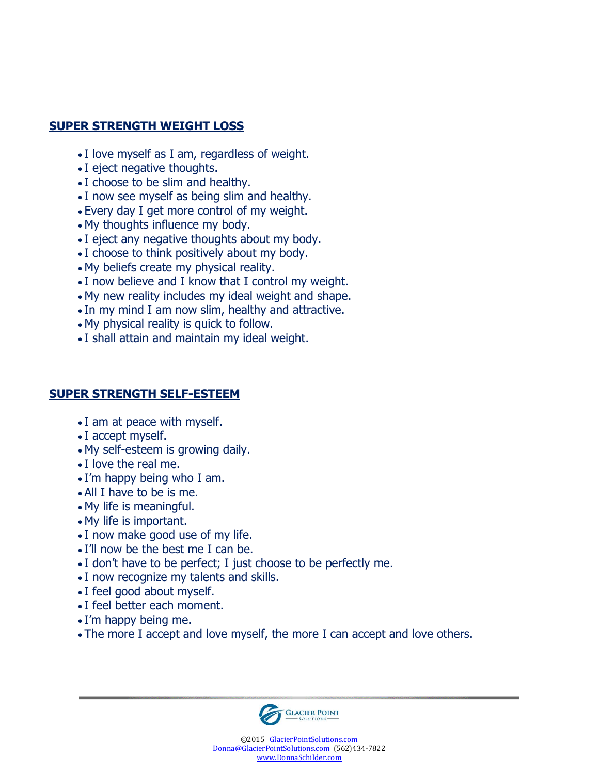## **SUPER STRENGTH WEIGHT LOSS**

- I love myself as I am, regardless of weight.
- I eject negative thoughts.
- I choose to be slim and healthy.
- I now see myself as being slim and healthy.
- Every day I get more control of my weight.
- My thoughts influence my body.
- I eject any negative thoughts about my body.
- I choose to think positively about my body.
- My beliefs create my physical reality.
- I now believe and I know that I control my weight.
- My new reality includes my ideal weight and shape.
- In my mind I am now slim, healthy and attractive.
- My physical reality is quick to follow.
- I shall attain and maintain my ideal weight.

## **SUPER STRENGTH SELF-ESTEEM**

- I am at peace with myself.
- I accept myself.
- My self-esteem is growing daily.
- I love the real me.
- I'm happy being who I am.
- All I have to be is me.
- My life is meaningful.
- My life is important.
- I now make good use of my life.
- I'll now be the best me I can be.
- I don't have to be perfect; I just choose to be perfectly me.
- I now recognize my talents and skills.
- I feel good about myself.
- I feel better each moment.
- I'm happy being me.
- The more I accept and love myself, the more I can accept and love others.

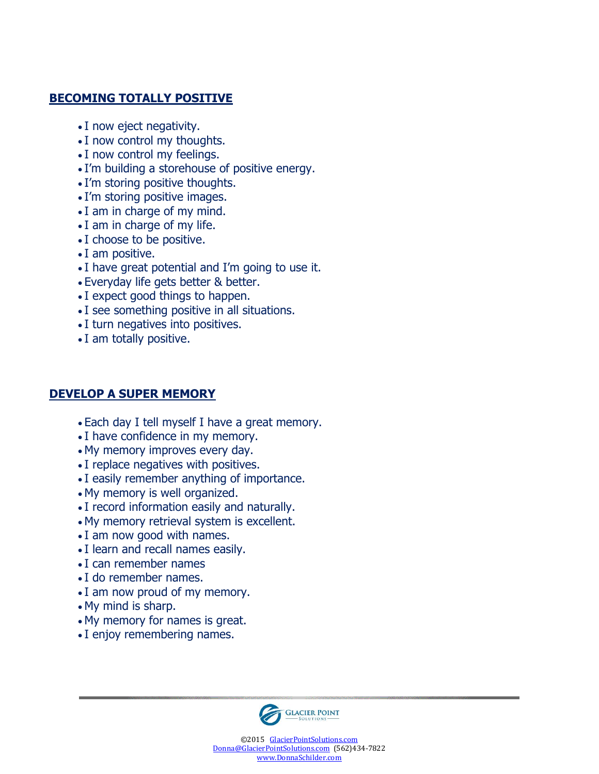## **BECOMING TOTALLY POSITIVE**

- I now eject negativity.
- I now control my thoughts.
- I now control my feelings.
- I'm building a storehouse of positive energy.
- I'm storing positive thoughts.
- I'm storing positive images.
- I am in charge of my mind.
- I am in charge of my life.
- I choose to be positive.
- I am positive.
- I have great potential and I'm going to use it.
- Everyday life gets better & better.
- I expect good things to happen.
- I see something positive in all situations.
- I turn negatives into positives.
- I am totally positive.

## **DEVELOP A SUPER MEMORY**

- Each day I tell myself I have a great memory.
- I have confidence in my memory.
- My memory improves every day.
- I replace negatives with positives.
- I easily remember anything of importance.
- My memory is well organized.
- I record information easily and naturally.
- My memory retrieval system is excellent.
- I am now good with names.
- I learn and recall names easily.
- I can remember names
- I do remember names.
- I am now proud of my memory.
- My mind is sharp.
- My memory for names is great.
- I enjoy remembering names.